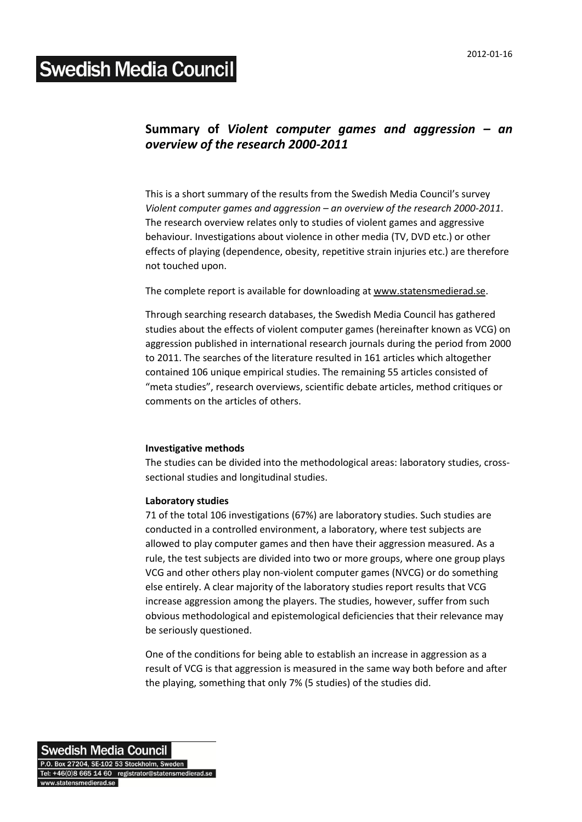# **Swedish Media Council**

# **Summary of** *Violent computer games and aggression – an overview of the research 2000-2011*

This is a short summary of the results from the Swedish Media Council's survey *Violent computer games and aggression – an overview of the research 2000-2011*. The research overview relates only to studies of violent games and aggressive behaviour. Investigations about violence in other media (TV, DVD etc.) or other effects of playing (dependence, obesity, repetitive strain injuries etc.) are therefore not touched upon.

The complete report is available for downloading at www.statensmedierad.se.

Through searching research databases, the Swedish Media Council has gathered studies about the effects of violent computer games (hereinafter known as VCG) on aggression published in international research journals during the period from 2000 to 2011. The searches of the literature resulted in 161 articles which altogether contained 106 unique empirical studies. The remaining 55 articles consisted of "meta studies", research overviews, scientific debate articles, method critiques or comments on the articles of others.

#### **Investigative methods**

The studies can be divided into the methodological areas: laboratory studies, crosssectional studies and longitudinal studies.

#### **Laboratory studies**

71 of the total 106 investigations (67%) are laboratory studies. Such studies are conducted in a controlled environment, a laboratory, where test subjects are allowed to play computer games and then have their aggression measured. As a rule, the test subjects are divided into two or more groups, where one group plays VCG and other others play non-violent computer games (NVCG) or do something else entirely. A clear majority of the laboratory studies report results that VCG increase aggression among the players. The studies, however, suffer from such obvious methodological and epistemological deficiencies that their relevance may be seriously questioned.

One of the conditions for being able to establish an increase in aggression as a result of VCG is that aggression is measured in the same way both before and after the playing, something that only 7% (5 studies) of the studies did.

**Swedish Media Council** P.O. Box 27204, SE-102 53 Stockholm, Sweden Tel: +46(0)8 665 14 60 registrator@statensmedierad.se www.statensmedierad.se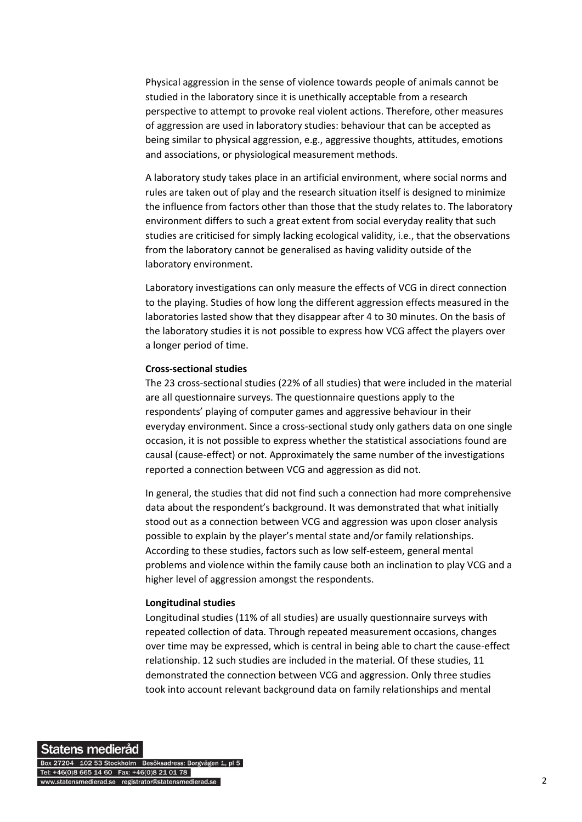Physical aggression in the sense of violence towards people of animals cannot be studied in the laboratory since it is unethically acceptable from a research perspective to attempt to provoke real violent actions. Therefore, other measures of aggression are used in laboratory studies: behaviour that can be accepted as being similar to physical aggression, e.g., aggressive thoughts, attitudes, emotions and associations, or physiological measurement methods.

A laboratory study takes place in an artificial environment, where social norms and rules are taken out of play and the research situation itself is designed to minimize the influence from factors other than those that the study relates to. The laboratory environment differs to such a great extent from social everyday reality that such studies are criticised for simply lacking ecological validity, i.e., that the observations from the laboratory cannot be generalised as having validity outside of the laboratory environment.

Laboratory investigations can only measure the effects of VCG in direct connection to the playing. Studies of how long the different aggression effects measured in the laboratories lasted show that they disappear after 4 to 30 minutes. On the basis of the laboratory studies it is not possible to express how VCG affect the players over a longer period of time.

#### **Cross-sectional studies**

The 23 cross-sectional studies (22% of all studies) that were included in the material are all questionnaire surveys. The questionnaire questions apply to the respondents' playing of computer games and aggressive behaviour in their everyday environment. Since a cross-sectional study only gathers data on one single occasion, it is not possible to express whether the statistical associations found are causal (cause-effect) or not. Approximately the same number of the investigations reported a connection between VCG and aggression as did not.

In general, the studies that did not find such a connection had more comprehensive data about the respondent's background. It was demonstrated that what initially stood out as a connection between VCG and aggression was upon closer analysis possible to explain by the player's mental state and/or family relationships. According to these studies, factors such as low self-esteem, general mental problems and violence within the family cause both an inclination to play VCG and a higher level of aggression amongst the respondents.

### **Longitudinal studies**

Longitudinal studies (11% of all studies) are usually questionnaire surveys with repeated collection of data. Through repeated measurement occasions, changes over time may be expressed, which is central in being able to chart the cause-effect relationship. 12 such studies are included in the material. Of these studies, 11 demonstrated the connection between VCG and aggression. Only three studies took into account relevant background data on family relationships and mental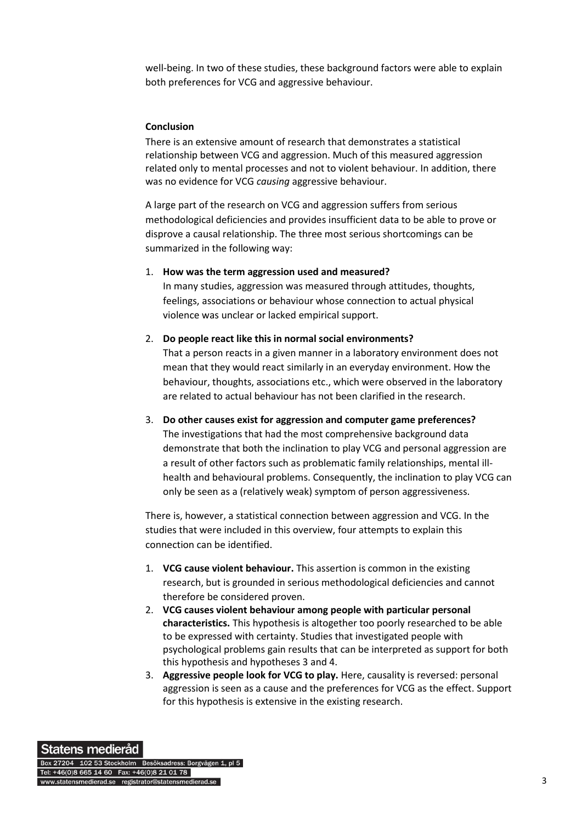well-being. In two of these studies, these background factors were able to explain both preferences for VCG and aggressive behaviour.

## **Conclusion**

There is an extensive amount of research that demonstrates a statistical relationship between VCG and aggression. Much of this measured aggression related only to mental processes and not to violent behaviour. In addition, there was no evidence for VCG *causing* aggressive behaviour.

A large part of the research on VCG and aggression suffers from serious methodological deficiencies and provides insufficient data to be able to prove or disprove a causal relationship. The three most serious shortcomings can be summarized in the following way:

1. **How was the term aggression used and measured?** In many studies, aggression was measured through attitudes, thoughts, feelings, associations or behaviour whose connection to actual physical violence was unclear or lacked empirical support.

### 2. **Do people react like this in normal social environments?**

That a person reacts in a given manner in a laboratory environment does not mean that they would react similarly in an everyday environment. How the behaviour, thoughts, associations etc., which were observed in the laboratory are related to actual behaviour has not been clarified in the research.

3. **Do other causes exist for aggression and computer game preferences?** The investigations that had the most comprehensive background data demonstrate that both the inclination to play VCG and personal aggression are a result of other factors such as problematic family relationships, mental illhealth and behavioural problems. Consequently, the inclination to play VCG can only be seen as a (relatively weak) symptom of person aggressiveness.

There is, however, a statistical connection between aggression and VCG. In the studies that were included in this overview, four attempts to explain this connection can be identified.

- 1. **VCG cause violent behaviour.** This assertion is common in the existing research, but is grounded in serious methodological deficiencies and cannot therefore be considered proven.
- 2. **VCG causes violent behaviour among people with particular personal characteristics.** This hypothesis is altogether too poorly researched to be able to be expressed with certainty. Studies that investigated people with psychological problems gain results that can be interpreted as support for both this hypothesis and hypotheses 3 and 4.
- 3. **Aggressive people look for VCG to play.** Here, causality is reversed: personal aggression is seen as a cause and the preferences for VCG as the effect. Support for this hypothesis is extensive in the existing research.